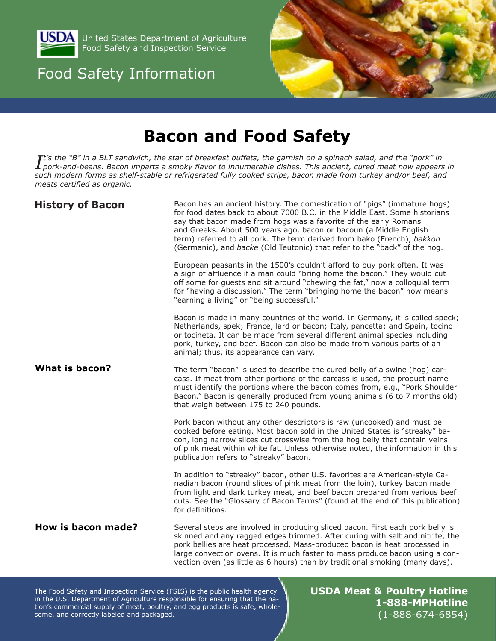

United States Department of Agriculture Food Safety and Inspection Service

# Food Safety Information



# **Bacon and Food Safety**

 $I$ <sup>t's</sup> the "B" in a BLT sandwich, the star of breakfast buffets, the garnish on a spinach salad, and the "pork" in<br> $I$  pork-and-beans. Bacon imparts a smoky flavor to innumerable dishes. This ancient, cured meat now appe *pork-and-beans. Bacon imparts a smoky flavor to innumerable dishes. This ancient, cured meat now appears in such modern forms as shelf-stable or refrigerated fully cooked strips, bacon made from turkey and/or beef, and meats certified as organic.* 

| <b>History of Bacon</b> | Bacon has an ancient history. The domestication of "pigs" (immature hogs)<br>for food dates back to about 7000 B.C. in the Middle East. Some historians<br>say that bacon made from hogs was a favorite of the early Romans<br>and Greeks. About 500 years ago, bacon or bacoun (a Middle English<br>term) referred to all pork. The term derived from bako (French), bakkon<br>(Germanic), and backe (Old Teutonic) that refer to the "back" of the hog. |  |  |
|-------------------------|-----------------------------------------------------------------------------------------------------------------------------------------------------------------------------------------------------------------------------------------------------------------------------------------------------------------------------------------------------------------------------------------------------------------------------------------------------------|--|--|
|                         | European peasants in the 1500's couldn't afford to buy pork often. It was<br>a sign of affluence if a man could "bring home the bacon." They would cut<br>off some for guests and sit around "chewing the fat," now a colloquial term<br>for "having a discussion." The term "bringing home the bacon" now means<br>"earning a living" or "being successful."                                                                                             |  |  |
|                         | Bacon is made in many countries of the world. In Germany, it is called speck;<br>Netherlands, spek; France, lard or bacon; Italy, pancetta; and Spain, tocino<br>or tocineta. It can be made from several different animal species including<br>pork, turkey, and beef. Bacon can also be made from various parts of an<br>animal; thus, its appearance can vary.                                                                                         |  |  |
| <b>What is bacon?</b>   | The term "bacon" is used to describe the cured belly of a swine (hog) car-<br>cass. If meat from other portions of the carcass is used, the product name<br>must identify the portions where the bacon comes from, e.g., "Pork Shoulder<br>Bacon." Bacon is generally produced from young animals (6 to 7 months old)<br>that weigh between 175 to 240 pounds.                                                                                            |  |  |
|                         | Pork bacon without any other descriptors is raw (uncooked) and must be<br>cooked before eating. Most bacon sold in the United States is "streaky" ba-<br>con, long narrow slices cut crosswise from the hog belly that contain veins<br>of pink meat within white fat. Unless otherwise noted, the information in this<br>publication refers to "streaky" bacon.                                                                                          |  |  |
|                         | In addition to "streaky" bacon, other U.S. favorites are American-style Ca-<br>nadian bacon (round slices of pink meat from the loin), turkey bacon made<br>from light and dark turkey meat, and beef bacon prepared from various beef<br>cuts. See the "Glossary of Bacon Terms" (found at the end of this publication)<br>for definitions.                                                                                                              |  |  |
| How is bacon made?      | Several steps are involved in producing sliced bacon. First each pork belly is<br>skinned and any ragged edges trimmed. After curing with salt and nitrite, the<br>pork bellies are heat processed. Mass-produced bacon is heat processed in<br>large convection ovens. It is much faster to mass produce bacon using a con-<br>vection oven (as little as 6 hours) than by traditional smoking (many days).                                              |  |  |

The Food Safety and Inspection Service (FSIS) is the public health agency in the U.S. Department of Agriculture responsible for ensuring that the nation's commercial supply of meat, poultry, and egg products is safe, wholesome, and correctly labeled and packaged.

**USDA Meat & Poultry Hotline 1-888-MPHotline** (1-888-674-6854)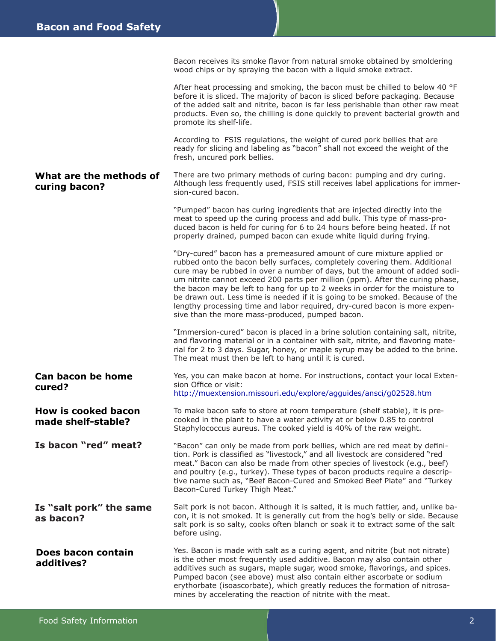**What are the methods of curing bacon? Can bacon be home cured? How is cooked bacon made shelf-stable? Is bacon "red" meat?** Bacon receives its smoke flavor from natural smoke obtained by smoldering wood chips or by spraying the bacon with a liquid smoke extract. After heat processing and smoking, the bacon must be chilled to below 40 °F before it is sliced. The majority of bacon is sliced before packaging. Because of the added salt and nitrite, bacon is far less perishable than other raw meat products. Even so, the chilling is done quickly to prevent bacterial growth and promote its shelf-life. According to FSIS regulations, the weight of cured pork bellies that are ready for slicing and labeling as "bacon" shall not exceed the weight of the fresh, uncured pork bellies. There are two primary methods of curing bacon: pumping and dry curing. Although less frequently used, FSIS still receives label applications for immersion-cured bacon. "Pumped" bacon has curing ingredients that are injected directly into the meat to speed up the curing process and add bulk. This type of mass-produced bacon is held for curing for 6 to 24 hours before being heated. If not properly drained, pumped bacon can exude white liquid during frying. "Dry-cured" bacon has a premeasured amount of cure mixture applied or rubbed onto the bacon belly surfaces, completely covering them. Additional cure may be rubbed in over a number of days, but the amount of added sodium nitrite cannot exceed 200 parts per million (ppm). After the curing phase, the bacon may be left to hang for up to 2 weeks in order for the moisture to be drawn out. Less time is needed if it is going to be smoked. Because of the lengthy processing time and labor required, dry-cured bacon is more expensive than the more mass-produced, pumped bacon. "Immersion-cured" bacon is placed in a brine solution containing salt, nitrite, and flavoring material or in a container with salt, nitrite, and flavoring material for 2 to 3 days. Sugar, honey, or maple syrup may be added to the brine. The meat must then be left to hang until it is cured. Yes, you can make bacon at home. For instructions, contact your local Extension Office or visit: http://muextension.missouri.edu/explore/agguides/ansci/g02528.htm To make bacon safe to store at room temperature (shelf stable), it is precooked in the plant to have a water activity at or below 0.85 to control Staphylococcus aureus. The cooked yield is 40% of the raw weight. "Bacon" can only be made from pork bellies, which are red meat by definition. Pork is classified as "livestock," and all livestock are considered "red meat." Bacon can also be made from other species of livestock (e.g., beef) and poultry (e.g., turkey). These types of bacon products require a descriptive name such as, "Beef Bacon-Cured and Smoked Beef Plate" and "Turkey Bacon-Cured Turkey Thigh Meat." Salt pork is not bacon. Although it is salted, it is much fattier, and, unlike bacon, it is not smoked. It is generally cut from the hog's belly or side. Because salt pork is so salty, cooks often blanch or soak it to extract some of the salt before using. Yes. Bacon is made with salt as a curing agent, and nitrite (but not nitrate) is the other most frequently used additive. Bacon may also contain other additives such as sugars, maple sugar, wood smoke, flavorings, and spices. Pumped bacon (see above) must also contain either ascorbate or sodium erythorbate (isoascorbate), which greatly reduces the formation of nitrosa-**Is "salt pork" the same as bacon? Does bacon contain additives?**

mines by accelerating the reaction of nitrite with the meat.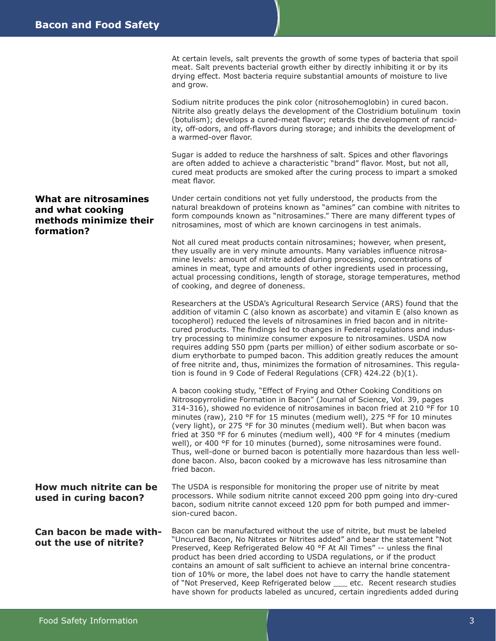#### **What are nitrosamines and what cooking methods minimize their formation?**

At certain levels, salt prevents the growth of some types of bacteria that spoil meat. Salt prevents bacterial growth either by directly inhibiting it or by its drying effect. Most bacteria require substantial amounts of moisture to live and grow.

Sodium nitrite produces the pink color (nitrosohemoglobin) in cured bacon. Nitrite also greatly delays the development of the Clostridium botulinum toxin (botulism); develops a cured-meat flavor; retards the development of rancidity, off-odors, and off-flavors during storage; and inhibits the development of a warmed-over flavor.

Sugar is added to reduce the harshness of salt. Spices and other flavorings are often added to achieve a characteristic "brand" flavor. Most, but not all, cured meat products are smoked after the curing process to impart a smoked meat flavor.

Under certain conditions not yet fully understood, the products from the natural breakdown of proteins known as "amines" can combine with nitrites to form compounds known as "nitrosamines." There are many different types of nitrosamines, most of which are known carcinogens in test animals.

Not all cured meat products contain nitrosamines; however, when present, they usually are in very minute amounts. Many variables influence nitrosamine levels: amount of nitrite added during processing, concentrations of amines in meat, type and amounts of other ingredients used in processing, actual processing conditions, length of storage, storage temperatures, method of cooking, and degree of doneness.

Researchers at the USDA's Agricultural Research Service (ARS) found that the addition of vitamin C (also known as ascorbate) and vitamin E (also known as tocopherol) reduced the levels of nitrosamines in fried bacon and in nitritecured products. The findings led to changes in Federal regulations and industry processing to minimize consumer exposure to nitrosamines. USDA now requires adding 550 ppm (parts per million) of either sodium ascorbate or sodium erythorbate to pumped bacon. This addition greatly reduces the amount of free nitrite and, thus, minimizes the formation of nitrosamines. This regulation is found in 9 Code of Federal Regulations (CFR) 424.22 (b)(1).

A bacon cooking study, "Effect of Frying and Other Cooking Conditions on Nitrosopyrrolidine Formation in Bacon" (Journal of Science, Vol. 39, pages 314-316), showed no evidence of nitrosamines in bacon fried at 210 °F for 10 minutes (raw), 210 °F for 15 minutes (medium well), 275 °F for 10 minutes (very light), or 275 °F for 30 minutes (medium well). But when bacon was fried at 350 °F for 6 minutes (medium well), 400 °F for 4 minutes (medium well), or 400 °F for 10 minutes (burned), some nitrosamines were found. Thus, well-done or burned bacon is potentially more hazardous than less welldone bacon. Also, bacon cooked by a microwave has less nitrosamine than fried bacon.

The USDA is responsible for monitoring the proper use of nitrite by meat processors. While sodium nitrite cannot exceed 200 ppm going into dry-cured bacon, sodium nitrite cannot exceed 120 ppm for both pumped and immersion-cured bacon. **How much nitrite can be** 

Bacon can be manufactured without the use of nitrite, but must be labeled "Uncured Bacon, No Nitrates or Nitrites added" and bear the statement "Not Preserved, Keep Refrigerated Below 40 °F At All Times" -- unless the final product has been dried according to USDA regulations, or if the product contains an amount of salt sufficient to achieve an internal brine concentration of 10% or more, the label does not have to carry the handle statement of "Not Preserved, Keep Refrigerated below \_\_\_ etc. Recent research studies have shown for products labeled as uncured, certain ingredients added during **Can bacon be made without the use of nitrite?** 

**used in curing bacon?**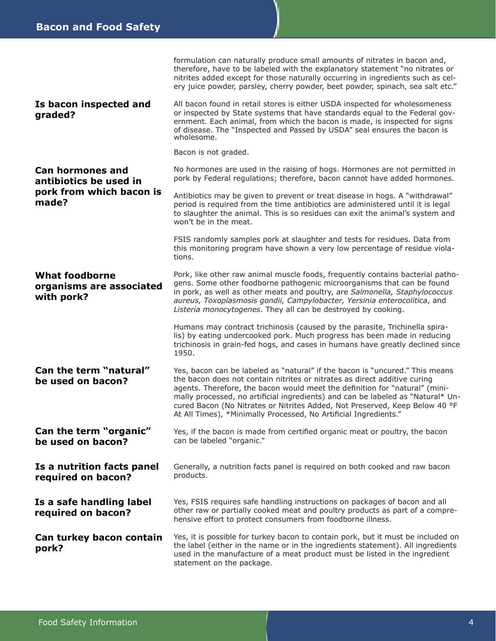|                                                                                        | formulation can naturally produce small amounts of nitrates in bacon and,<br>therefore, have to be labeled with the explanatory statement "no nitrates or<br>nitrites added except for those naturally occurring in ingredients such as cel-<br>ery juice powder, parsley, cherry powder, beet powder, spinach, sea salt etc."                                                                                                                                                 |  |
|----------------------------------------------------------------------------------------|--------------------------------------------------------------------------------------------------------------------------------------------------------------------------------------------------------------------------------------------------------------------------------------------------------------------------------------------------------------------------------------------------------------------------------------------------------------------------------|--|
| Is bacon inspected and<br>graded?                                                      | All bacon found in retail stores is either USDA inspected for wholesomeness<br>or inspected by State systems that have standards equal to the Federal gov-<br>ernment. Each animal, from which the bacon is made, is inspected for signs<br>of disease. The "Inspected and Passed by USDA" seal ensures the bacon is<br>wholesome.                                                                                                                                             |  |
|                                                                                        | Bacon is not graded.                                                                                                                                                                                                                                                                                                                                                                                                                                                           |  |
| <b>Can hormones and</b><br>antibiotics be used in<br>pork from which bacon is<br>made? | No hormones are used in the raising of hogs. Hormones are not permitted in<br>pork by Federal regulations; therefore, bacon cannot have added hormones.                                                                                                                                                                                                                                                                                                                        |  |
|                                                                                        | Antibiotics may be given to prevent or treat disease in hogs. A "withdrawal"<br>period is required from the time antibiotics are administered until it is legal<br>to slaughter the animal. This is so residues can exit the animal's system and<br>won't be in the meat.                                                                                                                                                                                                      |  |
|                                                                                        | FSIS randomly samples pork at slaughter and tests for residues. Data from<br>this monitoring program have shown a very low percentage of residue viola-<br>tions.                                                                                                                                                                                                                                                                                                              |  |
| <b>What foodborne</b><br>organisms are associated<br>with pork?                        | Pork, like other raw animal muscle foods, frequently contains bacterial patho-<br>gens. Some other foodborne pathogenic microorganisms that can be found<br>in pork, as well as other meats and poultry, are Salmonella, Staphylococcus<br>aureus, Toxoplasmosis gondii, Campylobacter, Yersinia enterocolitica, and<br>Listeria monocytogenes. They all can be destroyed by cooking.                                                                                          |  |
|                                                                                        | Humans may contract trichinosis (caused by the parasite, Trichinella spira-<br>lis) by eating undercooked pork. Much progress has been made in reducing<br>trichinosis in grain-fed hogs, and cases in humans have greatly declined since<br>1950.                                                                                                                                                                                                                             |  |
| Can the term "natural"<br>be used on bacon?                                            | Yes, bacon can be labeled as "natural" if the bacon is "uncured." This means<br>the bacon does not contain nitrites or nitrates as direct additive curing<br>agents. Therefore, the bacon would meet the definition for "natural" (mini-<br>mally processed, no artificial ingredients) and can be labeled as "Natural* Un-<br>cured Bacon (No Nitrates or Nitrites Added, Not Preserved, Keep Below 40 °F<br>At All Times), *Minimally Processed, No Artificial Ingredients." |  |
| Can the term "organic"<br>be used on bacon?                                            | Yes, if the bacon is made from certified organic meat or poultry, the bacon<br>can be labeled "organic."                                                                                                                                                                                                                                                                                                                                                                       |  |
| Is a nutrition facts panel<br>required on bacon?                                       | Generally, a nutrition facts panel is required on both cooked and raw bacon<br>products.                                                                                                                                                                                                                                                                                                                                                                                       |  |
| Is a safe handling label<br>required on bacon?                                         | Yes, FSIS requires safe handling instructions on packages of bacon and all<br>other raw or partially cooked meat and poultry products as part of a compre-<br>hensive effort to protect consumers from foodborne illness.                                                                                                                                                                                                                                                      |  |
| Can turkey bacon contain<br>pork?                                                      | Yes, it is possible for turkey bacon to contain pork, but it must be included on<br>the label (either in the name or in the ingredients statement). All ingredients<br>used in the manufacture of a meat product must be listed in the ingredient<br>statement on the package.                                                                                                                                                                                                 |  |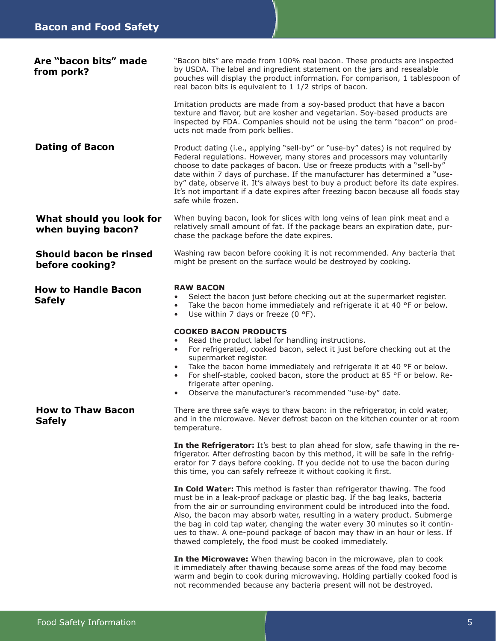| Are "bacon bits" made<br>from pork?            | "Bacon bits" are made from 100% real bacon. These products are inspected<br>by USDA. The label and ingredient statement on the jars and resealable<br>pouches will display the product information. For comparison, 1 tablespoon of<br>real bacon bits is equivalent to 1 1/2 strips of bacon.                                                                                                                                                                                                                                            |  |  |  |  |
|------------------------------------------------|-------------------------------------------------------------------------------------------------------------------------------------------------------------------------------------------------------------------------------------------------------------------------------------------------------------------------------------------------------------------------------------------------------------------------------------------------------------------------------------------------------------------------------------------|--|--|--|--|
|                                                | Imitation products are made from a soy-based product that have a bacon<br>texture and flavor, but are kosher and vegetarian. Soy-based products are<br>inspected by FDA. Companies should not be using the term "bacon" on prod-<br>ucts not made from pork bellies.                                                                                                                                                                                                                                                                      |  |  |  |  |
| <b>Dating of Bacon</b>                         | Product dating (i.e., applying "sell-by" or "use-by" dates) is not required by<br>Federal regulations. However, many stores and processors may voluntarily<br>choose to date packages of bacon. Use or freeze products with a "sell-by"<br>date within 7 days of purchase. If the manufacturer has determined a "use-<br>by" date, observe it. It's always best to buy a product before its date expires.<br>It's not important if a date expires after freezing bacon because all foods stay<br>safe while frozen.                       |  |  |  |  |
| What should you look for<br>when buying bacon? | When buying bacon, look for slices with long veins of lean pink meat and a<br>relatively small amount of fat. If the package bears an expiration date, pur-<br>chase the package before the date expires.                                                                                                                                                                                                                                                                                                                                 |  |  |  |  |
| Should bacon be rinsed<br>before cooking?      | Washing raw bacon before cooking it is not recommended. Any bacteria that<br>might be present on the surface would be destroyed by cooking.                                                                                                                                                                                                                                                                                                                                                                                               |  |  |  |  |
| <b>How to Handle Bacon</b><br><b>Safely</b>    | <b>RAW BACON</b><br>Select the bacon just before checking out at the supermarket register.<br>$\bullet$<br>Take the bacon home immediately and refrigerate it at 40 °F or below.<br>$\bullet$<br>Use within 7 days or freeze (0 $\degree$ F).<br>$\bullet$                                                                                                                                                                                                                                                                                |  |  |  |  |
|                                                | <b>COOKED BACON PRODUCTS</b><br>Read the product label for handling instructions.<br>For refrigerated, cooked bacon, select it just before checking out at the<br>$\bullet$<br>supermarket register.<br>Take the bacon home immediately and refrigerate it at 40 °F or below.<br>$\bullet$<br>For shelf-stable, cooked bacon, store the product at 85 °F or below. Re-<br>$\bullet$<br>frigerate after opening.<br>Observe the manufacturer's recommended "use-by" date.                                                                  |  |  |  |  |
| <b>How to Thaw Bacon</b><br><b>Safely</b>      | There are three safe ways to thaw bacon: in the refrigerator, in cold water,<br>and in the microwave. Never defrost bacon on the kitchen counter or at room<br>temperature.                                                                                                                                                                                                                                                                                                                                                               |  |  |  |  |
|                                                | In the Refrigerator: It's best to plan ahead for slow, safe thawing in the re-<br>frigerator. After defrosting bacon by this method, it will be safe in the refrig-<br>erator for 7 days before cooking. If you decide not to use the bacon during<br>this time, you can safely refreeze it without cooking it first.                                                                                                                                                                                                                     |  |  |  |  |
|                                                | In Cold Water: This method is faster than refrigerator thawing. The food<br>must be in a leak-proof package or plastic bag. If the bag leaks, bacteria<br>from the air or surrounding environment could be introduced into the food.<br>Also, the bacon may absorb water, resulting in a watery product. Submerge<br>the bag in cold tap water, changing the water every 30 minutes so it contin-<br>ues to thaw. A one-pound package of bacon may thaw in an hour or less. If<br>thawed completely, the food must be cooked immediately. |  |  |  |  |
|                                                | In the Microwave: When thawing bacon in the microwave, plan to cook<br>it immediately after thawing because some areas of the food may become<br>warm and begin to cook during microwaving. Holding partially cooked food is<br>not recommended because any bacteria present will not be destroyed.                                                                                                                                                                                                                                       |  |  |  |  |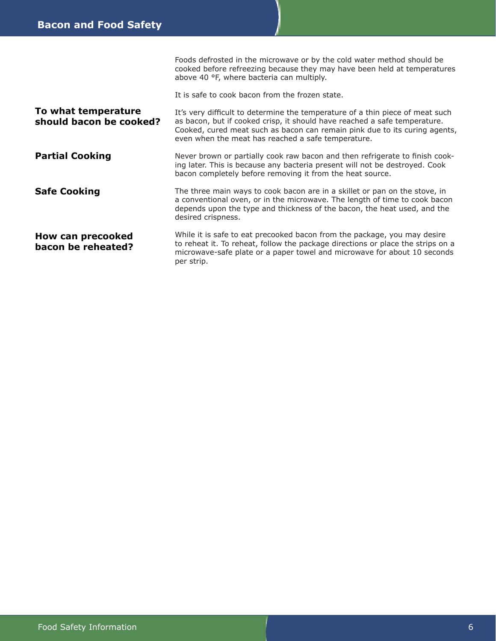|                                                | Foods defrosted in the microwave or by the cold water method should be<br>cooked before refreezing because they may have been held at temperatures<br>above 40 °F, where bacteria can multiply.                                                                                                |
|------------------------------------------------|------------------------------------------------------------------------------------------------------------------------------------------------------------------------------------------------------------------------------------------------------------------------------------------------|
|                                                | It is safe to cook bacon from the frozen state.                                                                                                                                                                                                                                                |
| To what temperature<br>should bacon be cooked? | It's very difficult to determine the temperature of a thin piece of meat such<br>as bacon, but if cooked crisp, it should have reached a safe temperature.<br>Cooked, cured meat such as bacon can remain pink due to its curing agents,<br>even when the meat has reached a safe temperature. |
| <b>Partial Cooking</b>                         | Never brown or partially cook raw bacon and then refrigerate to finish cook-<br>ing later. This is because any bacteria present will not be destroyed. Cook<br>bacon completely before removing it from the heat source.                                                                       |
| <b>Safe Cooking</b>                            | The three main ways to cook bacon are in a skillet or pan on the stove, in<br>a conventional oven, or in the microwave. The length of time to cook bacon<br>depends upon the type and thickness of the bacon, the heat used, and the<br>desired crispness.                                     |
| How can precooked<br>bacon be reheated?        | While it is safe to eat precooked bacon from the package, you may desire<br>to reheat it. To reheat, follow the package directions or place the strips on a<br>microwave-safe plate or a paper towel and microwave for about 10 seconds<br>per strip.                                          |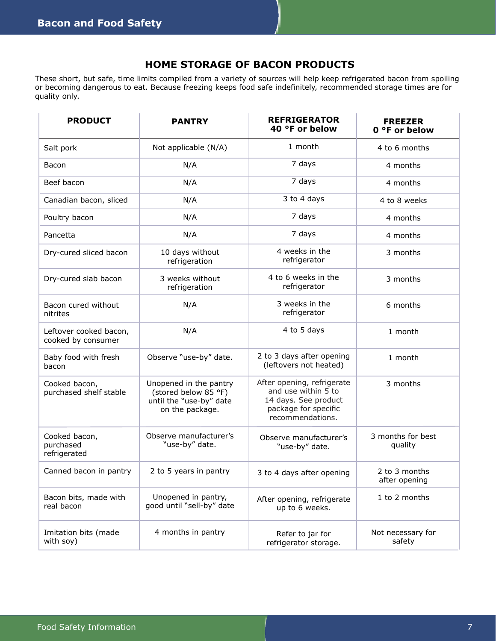## **HOME STORAGE OF BACON PRODUCTS**

These short, but safe, time limits compiled from a variety of sources will help keep refrigerated bacon from spoiling or becoming dangerous to eat. Because freezing keeps food safe indefinitely, recommended storage times are for quality only.

| <b>PRODUCT</b>                               | <b>PANTRY</b>                                                                                | <b>REFRIGERATOR</b><br>40 °F or below                                                                                 | <b>FREEZER</b><br>0 °F or below |
|----------------------------------------------|----------------------------------------------------------------------------------------------|-----------------------------------------------------------------------------------------------------------------------|---------------------------------|
| Salt pork                                    | Not applicable (N/A)                                                                         | 1 month                                                                                                               | 4 to 6 months                   |
| Bacon                                        | N/A                                                                                          | 7 days                                                                                                                | 4 months                        |
| Beef bacon                                   | N/A                                                                                          | 7 days                                                                                                                | 4 months                        |
| Canadian bacon, sliced                       | N/A                                                                                          | 3 to 4 days                                                                                                           | 4 to 8 weeks                    |
| Poultry bacon                                | N/A                                                                                          | 7 days                                                                                                                | 4 months                        |
| Pancetta                                     | N/A                                                                                          | 7 days                                                                                                                | 4 months                        |
| Dry-cured sliced bacon                       | 10 days without<br>refrigeration                                                             | 4 weeks in the<br>refrigerator                                                                                        | 3 months                        |
| Dry-cured slab bacon                         | 3 weeks without<br>refrigeration                                                             | 4 to 6 weeks in the<br>refrigerator                                                                                   | 3 months                        |
| Bacon cured without<br>nitrites              | N/A                                                                                          | 3 weeks in the<br>refrigerator                                                                                        | 6 months                        |
| Leftover cooked bacon,<br>cooked by consumer | N/A                                                                                          | 4 to 5 days                                                                                                           | 1 month                         |
| Baby food with fresh<br>bacon                | Observe "use-by" date.                                                                       | 2 to 3 days after opening<br>(leftovers not heated)                                                                   | 1 month                         |
| Cooked bacon,<br>purchased shelf stable      | Unopened in the pantry<br>(stored below 85 °F)<br>until the "use-by" date<br>on the package. | After opening, refrigerate<br>and use within 5 to<br>14 days. See product<br>package for specific<br>recommendations. | 3 months                        |
| Cooked bacon,<br>purchased<br>refrigerated   | Observe manufacturer's<br>"use-by" date.                                                     | Observe manufacturer's<br>"use-by" date.                                                                              | 3 months for best<br>quality    |
| Canned bacon in pantry                       | 2 to 5 years in pantry                                                                       | 3 to 4 days after opening                                                                                             | 2 to 3 months<br>after opening  |
| Bacon bits, made with<br>real bacon          | Unopened in pantry,<br>good until "sell-by" date                                             | After opening, refrigerate<br>up to 6 weeks.                                                                          | 1 to 2 months                   |
| Imitation bits (made<br>with soy)            | 4 months in pantry                                                                           | Refer to jar for<br>refrigerator storage.                                                                             | Not necessary for<br>safety     |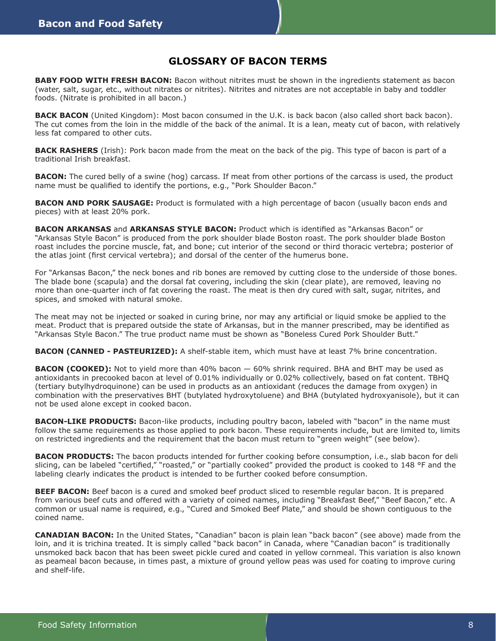### **GLOSSARY OF BACON TERMS**

**BABY FOOD WITH FRESH BACON:** Bacon without nitrites must be shown in the ingredients statement as bacon (water, salt, sugar, etc., without nitrates or nitrites). Nitrites and nitrates are not acceptable in baby and toddler foods. (Nitrate is prohibited in all bacon.)

**BACK BACON** (United Kingdom): Most bacon consumed in the U.K. is back bacon (also called short back bacon). The cut comes from the loin in the middle of the back of the animal. It is a lean, meaty cut of bacon, with relatively less fat compared to other cuts.

**BACK RASHERS** (Irish): Pork bacon made from the meat on the back of the pig. This type of bacon is part of a traditional Irish breakfast.

**BACON:** The cured belly of a swine (hog) carcass. If meat from other portions of the carcass is used, the product name must be qualified to identify the portions, e.g., "Pork Shoulder Bacon."

**BACON AND PORK SAUSAGE:** Product is formulated with a high percentage of bacon (usually bacon ends and pieces) with at least 20% pork.

**BACON ARKANSAS** and **ARKANSAS STYLE BACON:** Product which is identified as "Arkansas Bacon" or "Arkansas Style Bacon" is produced from the pork shoulder blade Boston roast. The pork shoulder blade Boston roast includes the porcine muscle, fat, and bone; cut interior of the second or third thoracic vertebra; posterior of the atlas joint (first cervical vertebra); and dorsal of the center of the humerus bone.

For "Arkansas Bacon," the neck bones and rib bones are removed by cutting close to the underside of those bones. The blade bone (scapula) and the dorsal fat covering, including the skin (clear plate), are removed, leaving no more than one-quarter inch of fat covering the roast. The meat is then dry cured with salt, sugar, nitrites, and spices, and smoked with natural smoke.

The meat may not be injected or soaked in curing brine, nor may any artificial or liquid smoke be applied to the meat. Product that is prepared outside the state of Arkansas, but in the manner prescribed, may be identified as "Arkansas Style Bacon." The true product name must be shown as "Boneless Cured Pork Shoulder Butt."

**BACON (CANNED - PASTEURIZED):** A shelf-stable item, which must have at least 7% brine concentration.

**BACON (COOKED):** Not to yield more than 40% bacon — 60% shrink required. BHA and BHT may be used as antioxidants in precooked bacon at level of 0.01% individually or 0.02% collectively, based on fat content. TBHQ (tertiary butylhydroquinone) can be used in products as an antioxidant (reduces the damage from oxygen) in combination with the preservatives BHT (butylated hydroxytoluene) and BHA (butylated hydroxyanisole), but it can not be used alone except in cooked bacon.

**BACON-LIKE PRODUCTS:** Bacon-like products, including poultry bacon, labeled with "bacon" in the name must follow the same requirements as those applied to pork bacon. These requirements include, but are limited to, limits on restricted ingredients and the requirement that the bacon must return to "green weight" (see below).

**BACON PRODUCTS:** The bacon products intended for further cooking before consumption, i.e., slab bacon for deli slicing, can be labeled "certified," "roasted," or "partially cooked" provided the product is cooked to 148 °F and the labeling clearly indicates the product is intended to be further cooked before consumption.

**BEEF BACON:** Beef bacon is a cured and smoked beef product sliced to resemble regular bacon. It is prepared from various beef cuts and offered with a variety of coined names, including "Breakfast Beef," "Beef Bacon," etc. A common or usual name is required, e.g., "Cured and Smoked Beef Plate," and should be shown contiguous to the coined name.

**CANADIAN BACON:** In the United States, "Canadian" bacon is plain lean "back bacon" (see above) made from the loin, and it is trichina treated. It is simply called "back bacon" in Canada, where "Canadian bacon" is traditionally unsmoked back bacon that has been sweet pickle cured and coated in yellow cornmeal. This variation is also known as peameal bacon because, in times past, a mixture of ground yellow peas was used for coating to improve curing and shelf-life.